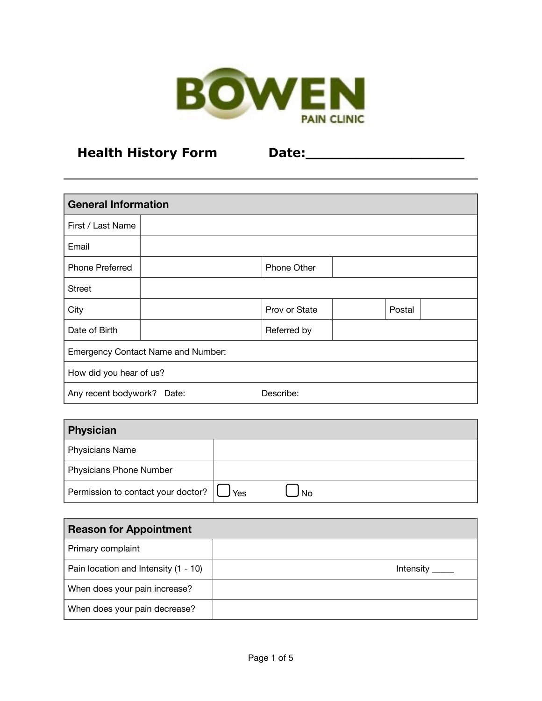

## **Health History Form Date:\_\_\_\_\_\_\_\_\_\_\_\_\_\_\_\_\_\_**

| <b>General Information</b>                |  |               |  |        |  |  |
|-------------------------------------------|--|---------------|--|--------|--|--|
| First / Last Name                         |  |               |  |        |  |  |
| Email                                     |  |               |  |        |  |  |
| Phone Preferred                           |  | Phone Other   |  |        |  |  |
| <b>Street</b>                             |  |               |  |        |  |  |
| City                                      |  | Prov or State |  | Postal |  |  |
| Date of Birth                             |  | Referred by   |  |        |  |  |
| <b>Emergency Contact Name and Number:</b> |  |               |  |        |  |  |
| How did you hear of us?                   |  |               |  |        |  |  |
| Describe:<br>Any recent bodywork? Date:   |  |               |  |        |  |  |

| Physician                          |     |    |
|------------------------------------|-----|----|
| Physicians Name                    |     |    |
| Physicians Phone Number            |     |    |
| Permission to contact your doctor? | Yes | No |

| <b>Reason for Appointment</b>        |           |  |  |  |
|--------------------------------------|-----------|--|--|--|
| Primary complaint                    |           |  |  |  |
| Pain location and Intensity (1 - 10) | Intensity |  |  |  |
| When does your pain increase?        |           |  |  |  |
| When does your pain decrease?        |           |  |  |  |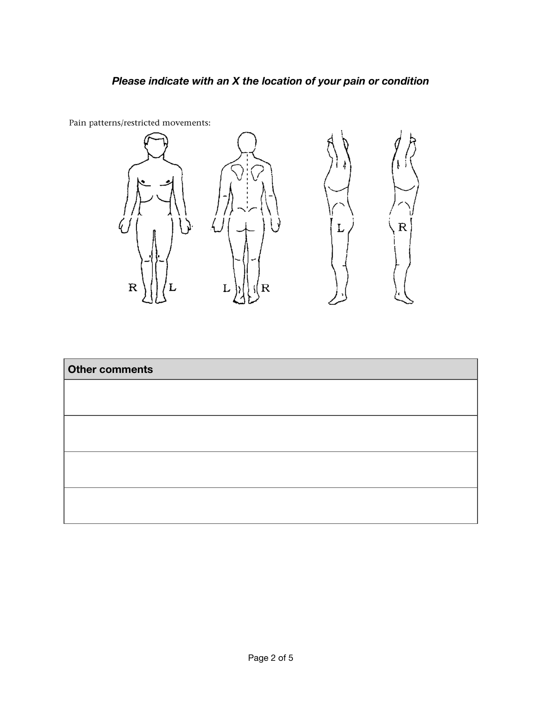## *Please indicate with an X the location of your pain or condition*



Pain patterns/restricted movements:

| Other comments |  |  |
|----------------|--|--|
|                |  |  |
|                |  |  |
|                |  |  |
|                |  |  |
|                |  |  |
|                |  |  |
|                |  |  |
|                |  |  |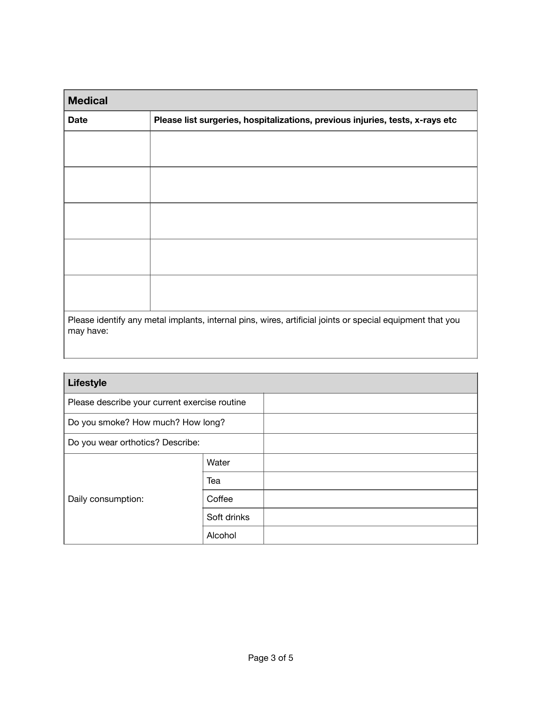| <b>Medical</b>                                                                                                         |                                                                               |  |  |  |
|------------------------------------------------------------------------------------------------------------------------|-------------------------------------------------------------------------------|--|--|--|
| <b>Date</b>                                                                                                            | Please list surgeries, hospitalizations, previous injuries, tests, x-rays etc |  |  |  |
|                                                                                                                        |                                                                               |  |  |  |
|                                                                                                                        |                                                                               |  |  |  |
|                                                                                                                        |                                                                               |  |  |  |
|                                                                                                                        |                                                                               |  |  |  |
|                                                                                                                        |                                                                               |  |  |  |
|                                                                                                                        |                                                                               |  |  |  |
|                                                                                                                        |                                                                               |  |  |  |
|                                                                                                                        |                                                                               |  |  |  |
|                                                                                                                        |                                                                               |  |  |  |
|                                                                                                                        |                                                                               |  |  |  |
| Please identify any metal implants, internal pins, wires, artificial joints or special equipment that you<br>may have: |                                                                               |  |  |  |

| <b>Lifestyle</b>                              |             |  |  |  |  |
|-----------------------------------------------|-------------|--|--|--|--|
| Please describe your current exercise routine |             |  |  |  |  |
| Do you smoke? How much? How long?             |             |  |  |  |  |
| Do you wear orthotics? Describe:              |             |  |  |  |  |
|                                               | Water       |  |  |  |  |
|                                               | Tea         |  |  |  |  |
| Daily consumption:                            | Coffee      |  |  |  |  |
|                                               | Soft drinks |  |  |  |  |
|                                               | Alcohol     |  |  |  |  |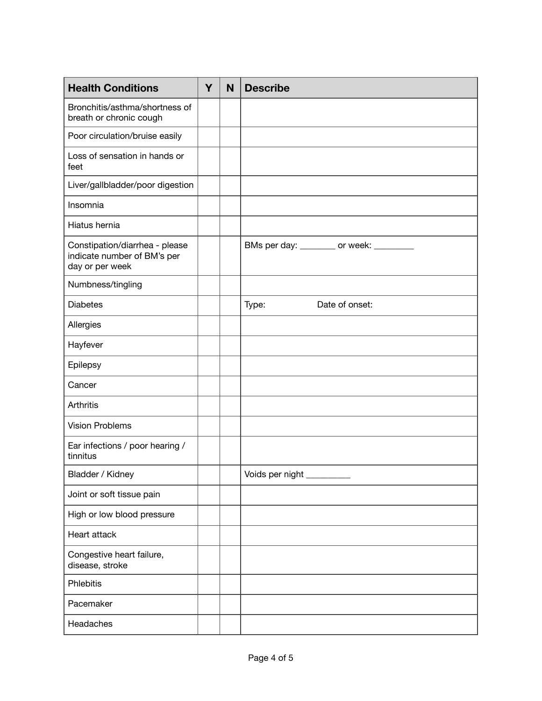| <b>Health Conditions</b>                                                         | Y | N | <b>Describe</b>                         |
|----------------------------------------------------------------------------------|---|---|-----------------------------------------|
| Bronchitis/asthma/shortness of<br>breath or chronic cough                        |   |   |                                         |
| Poor circulation/bruise easily                                                   |   |   |                                         |
| Loss of sensation in hands or<br>feet                                            |   |   |                                         |
| Liver/gallbladder/poor digestion                                                 |   |   |                                         |
| Insomnia                                                                         |   |   |                                         |
| Hiatus hernia                                                                    |   |   |                                         |
| Constipation/diarrhea - please<br>indicate number of BM's per<br>day or per week |   |   | BMs per day: ________ or week: ________ |
| Numbness/tingling                                                                |   |   |                                         |
| <b>Diabetes</b>                                                                  |   |   | Type:<br>Date of onset:                 |
| Allergies                                                                        |   |   |                                         |
| Hayfever                                                                         |   |   |                                         |
| Epilepsy                                                                         |   |   |                                         |
| Cancer                                                                           |   |   |                                         |
| Arthritis                                                                        |   |   |                                         |
| <b>Vision Problems</b>                                                           |   |   |                                         |
| Ear infections / poor hearing /<br>tinnitus                                      |   |   |                                         |
| Bladder / Kidney                                                                 |   |   | Voids per night ____                    |
| Joint or soft tissue pain                                                        |   |   |                                         |
| High or low blood pressure                                                       |   |   |                                         |
| Heart attack                                                                     |   |   |                                         |
| Congestive heart failure,<br>disease, stroke                                     |   |   |                                         |
| Phlebitis                                                                        |   |   |                                         |
| Pacemaker                                                                        |   |   |                                         |
| Headaches                                                                        |   |   |                                         |